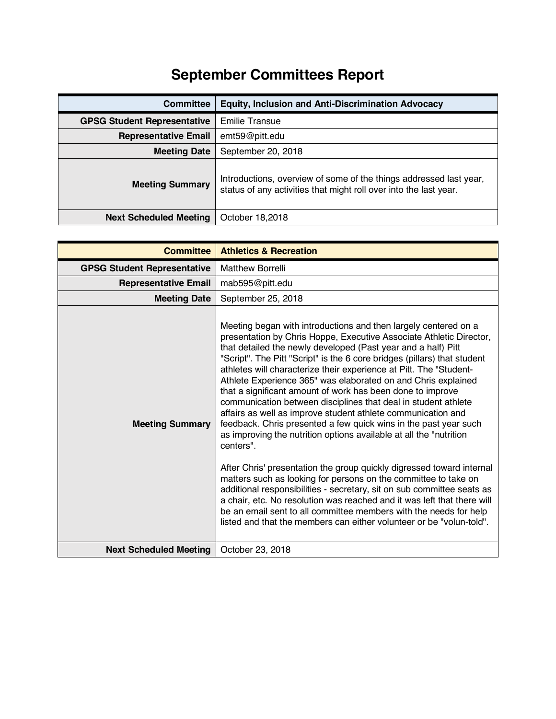## **September Committees Report**

| <b>Committee</b>                   | <b>Equity, Inclusion and Anti-Discrimination Advocacy</b>                                                                               |
|------------------------------------|-----------------------------------------------------------------------------------------------------------------------------------------|
| <b>GPSG Student Representative</b> | <b>Emilie Transue</b>                                                                                                                   |
| <b>Representative Email</b>        | emt59@pitt.edu                                                                                                                          |
| <b>Meeting Date</b>                | September 20, 2018                                                                                                                      |
| <b>Meeting Summary</b>             | Introductions, overview of some of the things addressed last year,<br>status of any activities that might roll over into the last year. |
| <b>Next Scheduled Meeting</b>      | October 18,2018                                                                                                                         |

| <b>Committee</b>                   | <b>Athletics &amp; Recreation</b>                                                                                                                                                                                                                                                                                                                                                                                                                                                                                                                                                                                                                                                                                                                                                                                                                                                                                                                                                                                                                                                                                                                                                                                                |
|------------------------------------|----------------------------------------------------------------------------------------------------------------------------------------------------------------------------------------------------------------------------------------------------------------------------------------------------------------------------------------------------------------------------------------------------------------------------------------------------------------------------------------------------------------------------------------------------------------------------------------------------------------------------------------------------------------------------------------------------------------------------------------------------------------------------------------------------------------------------------------------------------------------------------------------------------------------------------------------------------------------------------------------------------------------------------------------------------------------------------------------------------------------------------------------------------------------------------------------------------------------------------|
| <b>GPSG Student Representative</b> | <b>Matthew Borrelli</b>                                                                                                                                                                                                                                                                                                                                                                                                                                                                                                                                                                                                                                                                                                                                                                                                                                                                                                                                                                                                                                                                                                                                                                                                          |
| <b>Representative Email</b>        | mab595@pitt.edu                                                                                                                                                                                                                                                                                                                                                                                                                                                                                                                                                                                                                                                                                                                                                                                                                                                                                                                                                                                                                                                                                                                                                                                                                  |
| <b>Meeting Date</b>                | September 25, 2018                                                                                                                                                                                                                                                                                                                                                                                                                                                                                                                                                                                                                                                                                                                                                                                                                                                                                                                                                                                                                                                                                                                                                                                                               |
| <b>Meeting Summary</b>             | Meeting began with introductions and then largely centered on a<br>presentation by Chris Hoppe, Executive Associate Athletic Director,<br>that detailed the newly developed (Past year and a half) Pitt<br>"Script". The Pitt "Script" is the 6 core bridges (pillars) that student<br>athletes will characterize their experience at Pitt. The "Student-<br>Athlete Experience 365" was elaborated on and Chris explained<br>that a significant amount of work has been done to improve<br>communication between disciplines that deal in student athlete<br>affairs as well as improve student athlete communication and<br>feedback. Chris presented a few quick wins in the past year such<br>as improving the nutrition options available at all the "nutrition"<br>centers".<br>After Chris' presentation the group quickly digressed toward internal<br>matters such as looking for persons on the committee to take on<br>additional responsibilities - secretary, sit on sub committee seats as<br>a chair, etc. No resolution was reached and it was left that there will<br>be an email sent to all committee members with the needs for help<br>listed and that the members can either volunteer or be "volun-told". |
| <b>Next Scheduled Meeting</b>      | October 23, 2018                                                                                                                                                                                                                                                                                                                                                                                                                                                                                                                                                                                                                                                                                                                                                                                                                                                                                                                                                                                                                                                                                                                                                                                                                 |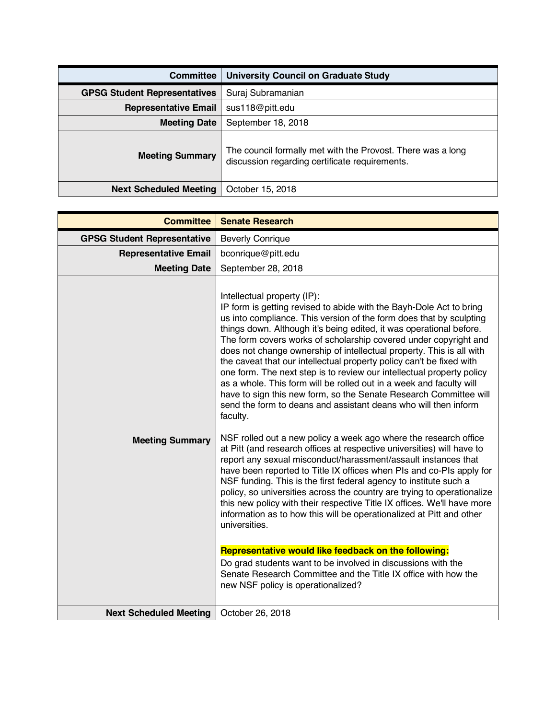| <b>Committee</b>                    | <b>University Council on Graduate Study</b>                                                                   |
|-------------------------------------|---------------------------------------------------------------------------------------------------------------|
| <b>GPSG Student Representatives</b> | Suraj Subramanian                                                                                             |
| <b>Representative Email</b>         | sus118@pitt.edu                                                                                               |
| <b>Meeting Date</b>                 | September 18, 2018                                                                                            |
| <b>Meeting Summary</b>              | The council formally met with the Provost. There was a long<br>discussion regarding certificate requirements. |
| <b>Next Scheduled Meeting</b>       | October 15, 2018                                                                                              |

| <b>Committee</b>                   | <b>Senate Research</b>                                                                                                                                                                                                                                                                                                                                                                                                                                                                                                                                                                                                                                                                                                                                                                                                                                                                                                                                                                                                                                                                                                                                                                                                                                                                                                                                                                                                                                                                                                                                                                                               |
|------------------------------------|----------------------------------------------------------------------------------------------------------------------------------------------------------------------------------------------------------------------------------------------------------------------------------------------------------------------------------------------------------------------------------------------------------------------------------------------------------------------------------------------------------------------------------------------------------------------------------------------------------------------------------------------------------------------------------------------------------------------------------------------------------------------------------------------------------------------------------------------------------------------------------------------------------------------------------------------------------------------------------------------------------------------------------------------------------------------------------------------------------------------------------------------------------------------------------------------------------------------------------------------------------------------------------------------------------------------------------------------------------------------------------------------------------------------------------------------------------------------------------------------------------------------------------------------------------------------------------------------------------------------|
| <b>GPSG Student Representative</b> | <b>Beverly Conrique</b>                                                                                                                                                                                                                                                                                                                                                                                                                                                                                                                                                                                                                                                                                                                                                                                                                                                                                                                                                                                                                                                                                                                                                                                                                                                                                                                                                                                                                                                                                                                                                                                              |
| <b>Representative Email</b>        | bconrique@pitt.edu                                                                                                                                                                                                                                                                                                                                                                                                                                                                                                                                                                                                                                                                                                                                                                                                                                                                                                                                                                                                                                                                                                                                                                                                                                                                                                                                                                                                                                                                                                                                                                                                   |
| <b>Meeting Date</b>                | September 28, 2018                                                                                                                                                                                                                                                                                                                                                                                                                                                                                                                                                                                                                                                                                                                                                                                                                                                                                                                                                                                                                                                                                                                                                                                                                                                                                                                                                                                                                                                                                                                                                                                                   |
| <b>Meeting Summary</b>             | Intellectual property (IP):<br>IP form is getting revised to abide with the Bayh-Dole Act to bring<br>us into compliance. This version of the form does that by sculpting<br>things down. Although it's being edited, it was operational before.<br>The form covers works of scholarship covered under copyright and<br>does not change ownership of intellectual property. This is all with<br>the caveat that our intellectual property policy can't be fixed with<br>one form. The next step is to review our intellectual property policy<br>as a whole. This form will be rolled out in a week and faculty will<br>have to sign this new form, so the Senate Research Committee will<br>send the form to deans and assistant deans who will then inform<br>faculty.<br>NSF rolled out a new policy a week ago where the research office<br>at Pitt (and research offices at respective universities) will have to<br>report any sexual misconduct/harassment/assault instances that<br>have been reported to Title IX offices when PIs and co-PIs apply for<br>NSF funding. This is the first federal agency to institute such a<br>policy, so universities across the country are trying to operationalize<br>this new policy with their respective Title IX offices. We'll have more<br>information as to how this will be operationalized at Pitt and other<br>universities.<br>Representative would like feedback on the following:<br>Do grad students want to be involved in discussions with the<br>Senate Research Committee and the Title IX office with how the<br>new NSF policy is operationalized? |
| <b>Next Scheduled Meeting</b>      | October 26, 2018                                                                                                                                                                                                                                                                                                                                                                                                                                                                                                                                                                                                                                                                                                                                                                                                                                                                                                                                                                                                                                                                                                                                                                                                                                                                                                                                                                                                                                                                                                                                                                                                     |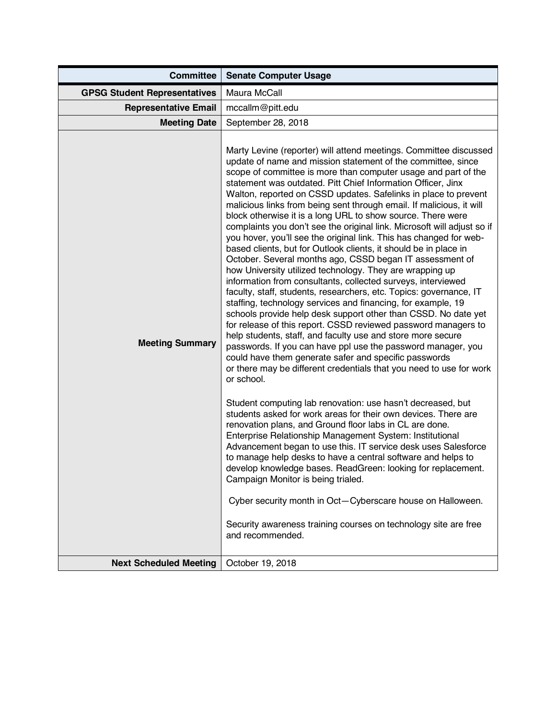| <b>Committee</b>                    | <b>Senate Computer Usage</b>                                                                                                                                                                                                                                                                                                                                                                                                                                                                                                                                                                                                                                                                                                                                                                                                                                                                                                                                                                                                                                                                                                                                                                                                                                                                                                                                                                                                                                                                                                                                                                                                                                                                                                                                                                                                                                                                                                                                                                                                                                                                           |
|-------------------------------------|--------------------------------------------------------------------------------------------------------------------------------------------------------------------------------------------------------------------------------------------------------------------------------------------------------------------------------------------------------------------------------------------------------------------------------------------------------------------------------------------------------------------------------------------------------------------------------------------------------------------------------------------------------------------------------------------------------------------------------------------------------------------------------------------------------------------------------------------------------------------------------------------------------------------------------------------------------------------------------------------------------------------------------------------------------------------------------------------------------------------------------------------------------------------------------------------------------------------------------------------------------------------------------------------------------------------------------------------------------------------------------------------------------------------------------------------------------------------------------------------------------------------------------------------------------------------------------------------------------------------------------------------------------------------------------------------------------------------------------------------------------------------------------------------------------------------------------------------------------------------------------------------------------------------------------------------------------------------------------------------------------------------------------------------------------------------------------------------------------|
| <b>GPSG Student Representatives</b> | Maura McCall                                                                                                                                                                                                                                                                                                                                                                                                                                                                                                                                                                                                                                                                                                                                                                                                                                                                                                                                                                                                                                                                                                                                                                                                                                                                                                                                                                                                                                                                                                                                                                                                                                                                                                                                                                                                                                                                                                                                                                                                                                                                                           |
| <b>Representative Email</b>         | mccallm@pitt.edu                                                                                                                                                                                                                                                                                                                                                                                                                                                                                                                                                                                                                                                                                                                                                                                                                                                                                                                                                                                                                                                                                                                                                                                                                                                                                                                                                                                                                                                                                                                                                                                                                                                                                                                                                                                                                                                                                                                                                                                                                                                                                       |
| <b>Meeting Date</b>                 | September 28, 2018                                                                                                                                                                                                                                                                                                                                                                                                                                                                                                                                                                                                                                                                                                                                                                                                                                                                                                                                                                                                                                                                                                                                                                                                                                                                                                                                                                                                                                                                                                                                                                                                                                                                                                                                                                                                                                                                                                                                                                                                                                                                                     |
| <b>Meeting Summary</b>              | Marty Levine (reporter) will attend meetings. Committee discussed<br>update of name and mission statement of the committee, since<br>scope of committee is more than computer usage and part of the<br>statement was outdated. Pitt Chief Information Officer, Jinx<br>Walton, reported on CSSD updates. Safelinks in place to prevent<br>malicious links from being sent through email. If malicious, it will<br>block otherwise it is a long URL to show source. There were<br>complaints you don't see the original link. Microsoft will adjust so if<br>you hover, you'll see the original link. This has changed for web-<br>based clients, but for Outlook clients, it should be in place in<br>October. Several months ago, CSSD began IT assessment of<br>how University utilized technology. They are wrapping up<br>information from consultants, collected surveys, interviewed<br>faculty, staff, students, researchers, etc. Topics: governance, IT<br>staffing, technology services and financing, for example, 19<br>schools provide help desk support other than CSSD. No date yet<br>for release of this report. CSSD reviewed password managers to<br>help students, staff, and faculty use and store more secure<br>passwords. If you can have ppl use the password manager, you<br>could have them generate safer and specific passwords<br>or there may be different credentials that you need to use for work<br>or school.<br>Student computing lab renovation: use hasn't decreased, but<br>students asked for work areas for their own devices. There are<br>renovation plans, and Ground floor labs in CL are done.<br>Enterprise Relationship Management System: Institutional<br>Advancement began to use this. IT service desk uses Salesforce<br>to manage help desks to have a central software and helps to<br>develop knowledge bases. ReadGreen: looking for replacement.<br>Campaign Monitor is being trialed.<br>Cyber security month in Oct-Cyberscare house on Halloween.<br>Security awareness training courses on technology site are free<br>and recommended. |
| <b>Next Scheduled Meeting</b>       | October 19, 2018                                                                                                                                                                                                                                                                                                                                                                                                                                                                                                                                                                                                                                                                                                                                                                                                                                                                                                                                                                                                                                                                                                                                                                                                                                                                                                                                                                                                                                                                                                                                                                                                                                                                                                                                                                                                                                                                                                                                                                                                                                                                                       |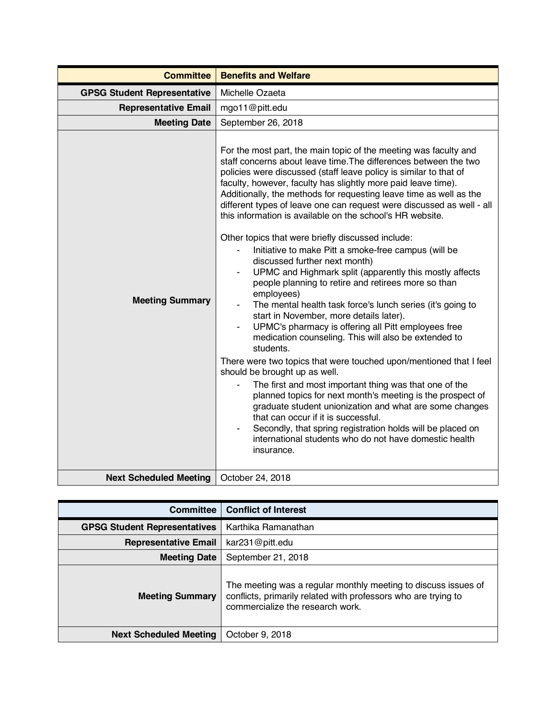| <b>Committee</b>                   | <b>Benefits and Welfare</b>                                                                                                                                                                                                                                                                                                                                                                                                                                                                                                                                                                                                                                                                                                                                                                                                                                                                                                                                                                                                                                                                                                                                                                                                                                                                                                                                                                                                                                                      |
|------------------------------------|----------------------------------------------------------------------------------------------------------------------------------------------------------------------------------------------------------------------------------------------------------------------------------------------------------------------------------------------------------------------------------------------------------------------------------------------------------------------------------------------------------------------------------------------------------------------------------------------------------------------------------------------------------------------------------------------------------------------------------------------------------------------------------------------------------------------------------------------------------------------------------------------------------------------------------------------------------------------------------------------------------------------------------------------------------------------------------------------------------------------------------------------------------------------------------------------------------------------------------------------------------------------------------------------------------------------------------------------------------------------------------------------------------------------------------------------------------------------------------|
| <b>GPSG Student Representative</b> | Michelle Ozaeta                                                                                                                                                                                                                                                                                                                                                                                                                                                                                                                                                                                                                                                                                                                                                                                                                                                                                                                                                                                                                                                                                                                                                                                                                                                                                                                                                                                                                                                                  |
| <b>Representative Email</b>        | mgo11@pitt.edu                                                                                                                                                                                                                                                                                                                                                                                                                                                                                                                                                                                                                                                                                                                                                                                                                                                                                                                                                                                                                                                                                                                                                                                                                                                                                                                                                                                                                                                                   |
| <b>Meeting Date</b>                | September 26, 2018                                                                                                                                                                                                                                                                                                                                                                                                                                                                                                                                                                                                                                                                                                                                                                                                                                                                                                                                                                                                                                                                                                                                                                                                                                                                                                                                                                                                                                                               |
| <b>Meeting Summary</b>             | For the most part, the main topic of the meeting was faculty and<br>staff concerns about leave time. The differences between the two<br>policies were discussed (staff leave policy is similar to that of<br>faculty, however, faculty has slightly more paid leave time).<br>Additionally, the methods for requesting leave time as well as the<br>different types of leave one can request were discussed as well - all<br>this information is available on the school's HR website.<br>Other topics that were briefly discussed include:<br>Initiative to make Pitt a smoke-free campus (will be<br>discussed further next month)<br>UPMC and Highmark split (apparently this mostly affects<br>people planning to retire and retirees more so than<br>employees)<br>The mental health task force's lunch series (it's going to<br>start in November, more details later).<br>UPMC's pharmacy is offering all Pitt employees free<br>medication counseling. This will also be extended to<br>students.<br>There were two topics that were touched upon/mentioned that I feel<br>should be brought up as well.<br>The first and most important thing was that one of the<br>planned topics for next month's meeting is the prospect of<br>graduate student unionization and what are some changes<br>that can occur if it is successful.<br>Secondly, that spring registration holds will be placed on<br>international students who do not have domestic health<br>insurance. |
| <b>Next Scheduled Meeting</b>      | October 24, 2018                                                                                                                                                                                                                                                                                                                                                                                                                                                                                                                                                                                                                                                                                                                                                                                                                                                                                                                                                                                                                                                                                                                                                                                                                                                                                                                                                                                                                                                                 |

| Committee                           | <b>Conflict of Interest</b>                                                                                                                                          |
|-------------------------------------|----------------------------------------------------------------------------------------------------------------------------------------------------------------------|
| <b>GPSG Student Representatives</b> | Karthika Ramanathan                                                                                                                                                  |
| <b>Representative Email</b>         | kar231@pitt.edu                                                                                                                                                      |
| <b>Meeting Date</b>                 | September 21, 2018                                                                                                                                                   |
| <b>Meeting Summary</b>              | The meeting was a regular monthly meeting to discuss issues of<br>conflicts, primarily related with professors who are trying to<br>commercialize the research work. |
| <b>Next Scheduled Meeting</b>       | October 9, 2018                                                                                                                                                      |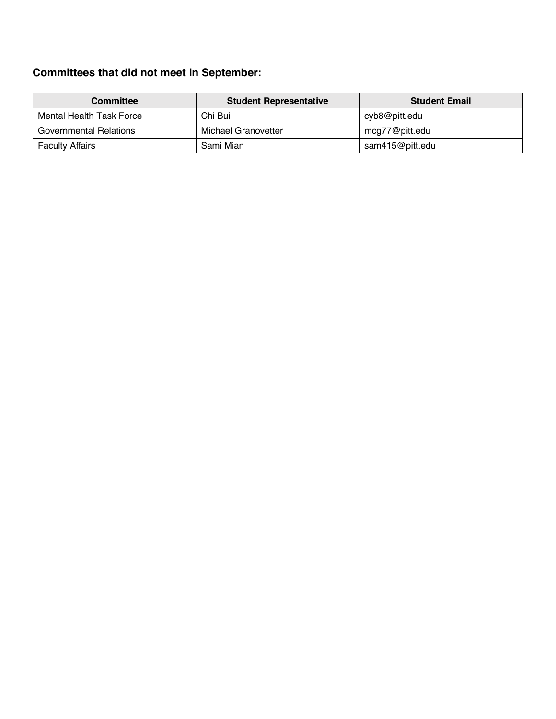## **Committees that did not meet in September:**

| Committee                | <b>Student Representative</b> | <b>Student Email</b> |
|--------------------------|-------------------------------|----------------------|
| Mental Health Task Force | Chi Bui                       | cyb8@pitt.edu        |
| Governmental Relations   | Michael Granovetter           | mcg77@pitt.edu       |
| <b>Faculty Affairs</b>   | Sami Mian                     | sam415@pitt.edu      |